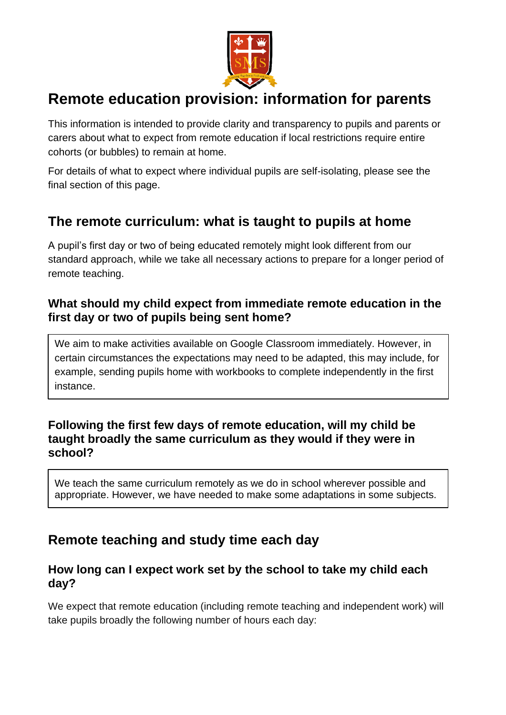

# **Remote education provision: information for parents**

This information is intended to provide clarity and transparency to pupils and parents or carers about what to expect from remote education if local restrictions require entire cohorts (or bubbles) to remain at home.

For details of what to expect where individual pupils are self-isolating, please see the final section of this page.

## **The remote curriculum: what is taught to pupils at home**

A pupil's first day or two of being educated remotely might look different from our standard approach, while we take all necessary actions to prepare for a longer period of remote teaching.

### **What should my child expect from immediate remote education in the first day or two of pupils being sent home?**

We aim to make activities available on Google Classroom immediately. However, in certain circumstances the expectations may need to be adapted, this may include, for example, sending pupils home with workbooks to complete independently in the first instance.

### **Following the first few days of remote education, will my child be taught broadly the same curriculum as they would if they were in school?**

We teach the same curriculum remotely as we do in school wherever possible and appropriate. However, we have needed to make some adaptations in some subjects.

## **Remote teaching and study time each day**

### **How long can I expect work set by the school to take my child each day?**

We expect that remote education (including remote teaching and independent work) will take pupils broadly the following number of hours each day: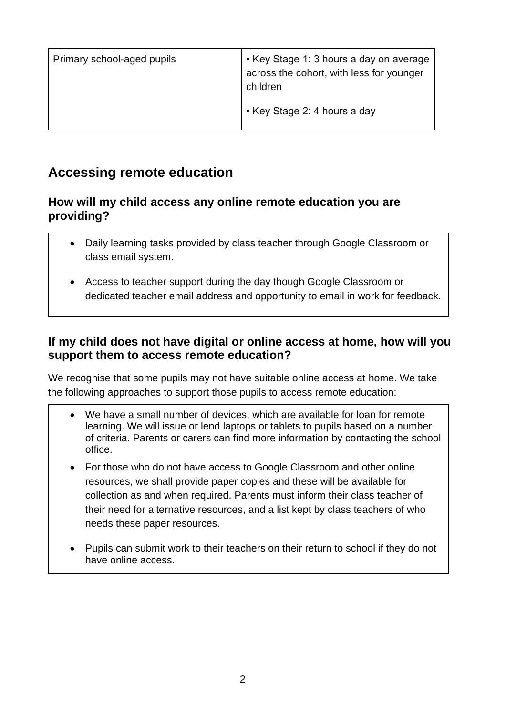| Primary school-aged pupils | • Key Stage 1: 3 hours a day on average<br>across the cohort, with less for younger<br>children |
|----------------------------|-------------------------------------------------------------------------------------------------|
|                            | • Key Stage 2: 4 hours a day                                                                    |

## **Accessing remote education**

### **How will my child access any online remote education you are providing?**

- Daily learning tasks provided by class teacher through Google Classroom or class email system.
- Access to teacher support during the day though Google Classroom or dedicated teacher email address and opportunity to email in work for feedback.

## **If my child does not have digital or online access at home, how will you support them to access remote education?**

We recognise that some pupils may not have suitable online access at home. We take the following approaches to support those pupils to access remote education:

- We have a small number of devices, which are available for loan for remote learning. We will issue or lend laptops or tablets to pupils based on a number of criteria. Parents or carers can find more information by contacting the school office.
- For those who do not have access to Google Classroom and other online resources, we shall provide paper copies and these will be available for collection as and when required. Parents must inform their class teacher of their need for alternative resources, and a list kept by class teachers of who needs these paper resources.
- Pupils can submit work to their teachers on their return to school if they do not have online access.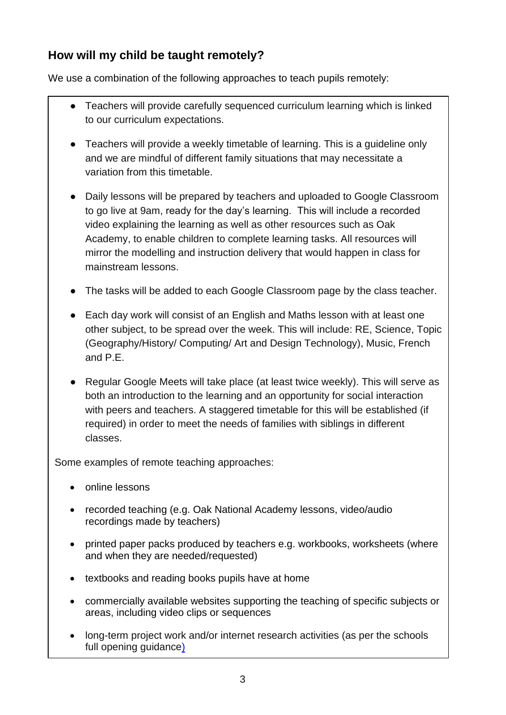## **How will my child be taught remotely?**

We use a combination of the following approaches to teach pupils remotely:

- Teachers will provide carefully sequenced curriculum learning which is linked to our curriculum expectations.
- Teachers will provide a weekly timetable of learning. This is a guideline only and we are mindful of different family situations that may necessitate a variation from this timetable.
- Daily lessons will be prepared by teachers and uploaded to Google Classroom to go live at 9am, ready for the day's learning. This will include a recorded video explaining the learning as well as other resources such as Oak Academy, to enable children to complete learning tasks. All resources will mirror the modelling and instruction delivery that would happen in class for mainstream lessons.
- The tasks will be added to each Google Classroom page by the class teacher.
- Each day work will consist of an English and Maths lesson with at least one other subject, to be spread over the week. This will include: RE, Science, Topic (Geography/History/ Computing/ Art and Design Technology), Music, French and P.E.
- Regular Google Meets will take place (at least twice weekly). This will serve as both an introduction to the learning and an opportunity for social interaction with peers and teachers. A staggered timetable for this will be established (if required) in order to meet the needs of families with siblings in different classes.

Some examples of remote teaching approaches:

- online lessons
- recorded teaching (e.g. Oak National Academy lessons, video/audio recordings made by teachers)
- printed paper packs produced by teachers e.g. workbooks, worksheets (where and when they are needed/requested)
- textbooks and reading books pupils have at home
- commercially available websites supporting the teaching of specific subjects or areas, including video clips or sequences
- long-term project work and/or internet research activities (as per the schools [full opening guidance\)](https://www.gov.uk/government/publications/actions-for-schools-during-the-coronavirus-outbreak/guidance-for-full-opening-schools#res)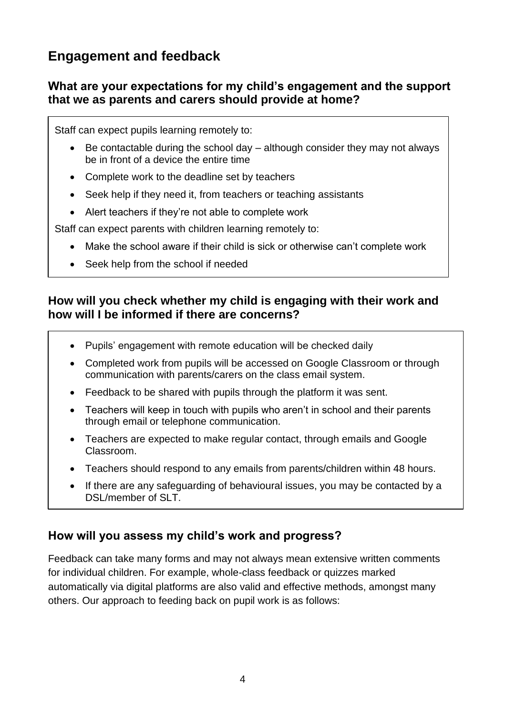## **Engagement and feedback**

### **What are your expectations for my child's engagement and the support that we as parents and carers should provide at home?**

Staff can expect pupils learning remotely to:

- Be contactable during the school day  $-$  although consider they may not always be in front of a device the entire time
- Complete work to the deadline set by teachers
- Seek help if they need it, from teachers or teaching assistants
- Alert teachers if they're not able to complete work

Staff can expect parents with children learning remotely to:

- Make the school aware if their child is sick or otherwise can't complete work
- Seek help from the school if needed

#### **How will you check whether my child is engaging with their work and how will I be informed if there are concerns?**

- Pupils' engagement with remote education will be checked daily
- Completed work from pupils will be accessed on Google Classroom or through communication with parents/carers on the class email system.
- Feedback to be shared with pupils through the platform it was sent.
- Teachers will keep in touch with pupils who aren't in school and their parents through email or telephone communication.
- Teachers are expected to make regular contact, through emails and Google Classroom.
- Teachers should respond to any emails from parents/children within 48 hours.
- If there are any safeguarding of behavioural issues, you may be contacted by a DSL/member of SLT.

## **How will you assess my child's work and progress?**

Feedback can take many forms and may not always mean extensive written comments for individual children. For example, whole-class feedback or quizzes marked automatically via digital platforms are also valid and effective methods, amongst many others. Our approach to feeding back on pupil work is as follows: